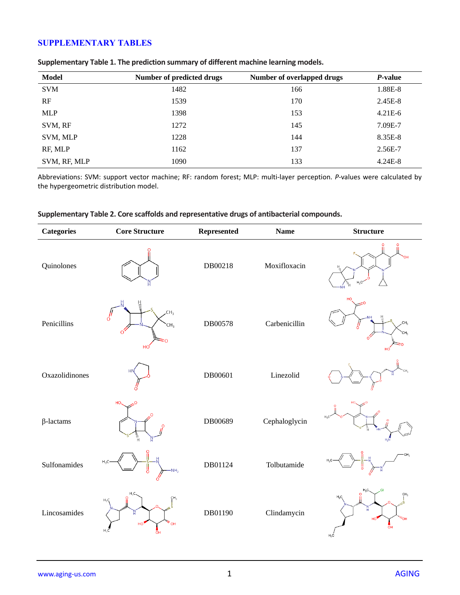# **SUPPLEMENTARY TABLES**

| <b>Model</b> | Number of predicted drugs | Number of overlapped drugs | P-value   |
|--------------|---------------------------|----------------------------|-----------|
| <b>SVM</b>   | 1482                      | 166                        | 1.88E-8   |
| RF           | 1539                      | 170                        | 2.45E-8   |
| <b>MLP</b>   | 1398                      | 153                        | $4.21E-6$ |
| SVM, RF      | 1272                      | 145                        | 7.09E-7   |
| SVM, MLP     | 1228                      | 144                        | 8.35E-8   |
| RF, MLP      | 1162                      | 137                        | 2.56E-7   |
| SVM, RF, MLP | 1090                      | 133                        | $4.24E-8$ |

### **Supplementary Table 1. The prediction summary of different machine learning models.**

Abbreviations: SVM: support vector machine; RF: random forest; MLP: multi-layer perception. *P*-values were calculated by the hypergeometric distribution model.

| <b>Categories</b> | <b>Core Structure</b>                               | Represented | <b>Name</b>   | <b>Structure</b>                                  |
|-------------------|-----------------------------------------------------|-------------|---------------|---------------------------------------------------|
| Quinolones        |                                                     | DB00218     | Moxifloxacin  |                                                   |
| Penicillins       | ™i<br>CH <sub>3</sub><br>ó<br>CH <sub>3</sub><br>HC | DB00578     | Carbenicillin |                                                   |
| Oxazolidinones    | <b>HN</b>                                           | DB00601     | Linezolid     |                                                   |
| $\beta$ -lactams  | HO.<br>$\circ$<br>皀                                 | DB00689     | Cephaloglycin |                                                   |
| Sulfonamides      | $H_3C$<br>NH <sub>2</sub>                           | DB01124     | Tolbutamide   |                                                   |
| Lincosamides      | CH <sub>3</sub><br>$H_3Q$<br>″он<br>$H_2C$          | DB01190     | Clindamycin   | CH <sub>3</sub><br>$H_2C$<br>′он<br>'nц<br>$H_3C$ |

#### **Supplementary Table 2. Core scaffolds and representative drugs of antibacterial compounds.**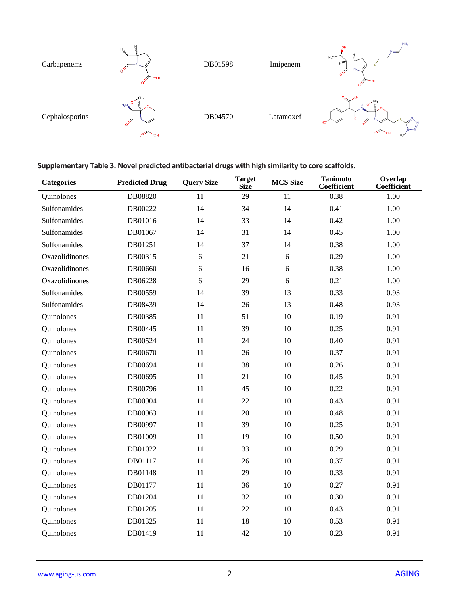| Carbapenems    | 빟<br>H<br>O,<br>ЭΗ | DB01598 | Imipenem  | NH <sub>2</sub><br>OH<br>--<br>브<br>$H_3C-$<br>DН |
|----------------|--------------------|---------|-----------|---------------------------------------------------|
| Cephalosporins | $H_2N$<br>OН       | DB04570 | Latamoxef | 쁑<br>$\frac{N}{H}$<br>$H_3C$                      |

## **Supplementary Table 3. Novel predicted antibacterial drugs with high similarity to core scaffolds.**

| <b>Categories</b> | <b>Predicted Drug</b> | <b>Query Size</b> | <b>Target</b><br><b>Size</b> | <b>MCS Size</b> | <b>Tanimoto</b><br><b>Coefficient</b> | Overlap<br>Coefficient |
|-------------------|-----------------------|-------------------|------------------------------|-----------------|---------------------------------------|------------------------|
| Quinolones        | DB08820               | 11                | 29                           | 11              | 0.38                                  | 1.00                   |
| Sulfonamides      | DB00222               | 14                | 34                           | 14              | 0.41                                  | 1.00                   |
| Sulfonamides      | DB01016               | 14                | 33                           | 14              | 0.42                                  | 1.00                   |
| Sulfonamides      | DB01067               | 14                | 31                           | 14              | 0.45                                  | 1.00                   |
| Sulfonamides      | DB01251               | 14                | 37                           | 14              | 0.38                                  | 1.00                   |
| Oxazolidinones    | DB00315               | 6                 | 21                           | 6               | 0.29                                  | 1.00                   |
| Oxazolidinones    | DB00660               | 6                 | 16                           | 6               | 0.38                                  | 1.00                   |
| Oxazolidinones    | DB06228               | 6                 | 29                           | 6               | 0.21                                  | 1.00                   |
| Sulfonamides      | DB00559               | 14                | 39                           | 13              | 0.33                                  | 0.93                   |
| Sulfonamides      | DB08439               | 14                | 26                           | 13              | 0.48                                  | 0.93                   |
| Quinolones        | DB00385               | 11                | 51                           | 10              | 0.19                                  | 0.91                   |
| Quinolones        | DB00445               | 11                | 39                           | 10              | 0.25                                  | 0.91                   |
| Quinolones        | DB00524               | 11                | 24                           | 10              | 0.40                                  | 0.91                   |
| Quinolones        | DB00670               | 11                | 26                           | 10              | 0.37                                  | 0.91                   |
| Quinolones        | DB00694               | 11                | 38                           | 10              | 0.26                                  | 0.91                   |
| Quinolones        | DB00695               | 11                | 21                           | 10              | 0.45                                  | 0.91                   |
| Quinolones        | DB00796               | 11                | 45                           | 10              | 0.22                                  | 0.91                   |
| Quinolones        | DB00904               | 11                | 22                           | 10              | 0.43                                  | 0.91                   |
| Quinolones        | DB00963               | 11                | 20                           | 10              | 0.48                                  | 0.91                   |
| Quinolones        | DB00997               | 11                | 39                           | 10              | 0.25                                  | 0.91                   |
| Quinolones        | DB01009               | 11                | 19                           | 10              | 0.50                                  | 0.91                   |
| Quinolones        | DB01022               | 11                | 33                           | 10              | 0.29                                  | 0.91                   |
| Quinolones        | DB01117               | 11                | 26                           | 10              | 0.37                                  | 0.91                   |
| Quinolones        | DB01148               | 11                | 29                           | 10              | 0.33                                  | 0.91                   |
| Quinolones        | DB01177               | 11                | 36                           | 10              | 0.27                                  | 0.91                   |
| Quinolones        | DB01204               | 11                | 32                           | 10              | 0.30                                  | 0.91                   |
| Quinolones        | DB01205               | 11                | 22                           | 10              | 0.43                                  | 0.91                   |
| Quinolones        | DB01325               | 11                | 18                           | 10              | 0.53                                  | 0.91                   |
| Quinolones        | DB01419               | 11                | 42                           | 10              | 0.23                                  | 0.91                   |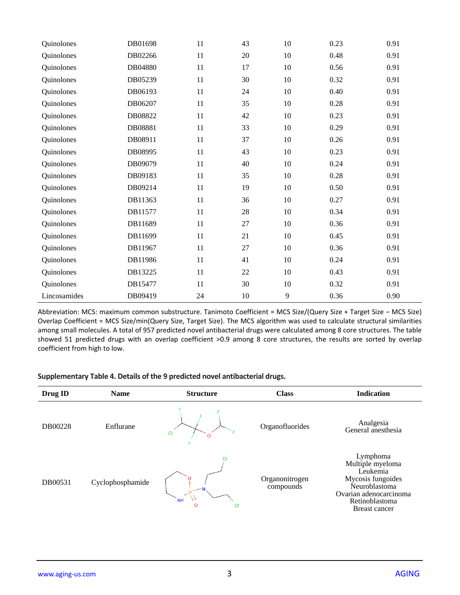| Quinolones   | DB01698 | 11 | 43 | 10     | 0.23 | 0.91 |
|--------------|---------|----|----|--------|------|------|
| Quinolones   | DB02266 | 11 | 20 | 10     | 0.48 | 0.91 |
| Quinolones   | DB04880 | 11 | 17 | $10\,$ | 0.56 | 0.91 |
| Quinolones   | DB05239 | 11 | 30 | 10     | 0.32 | 0.91 |
| Quinolones   | DB06193 | 11 | 24 | $10\,$ | 0.40 | 0.91 |
| Quinolones   | DB06207 | 11 | 35 | $10\,$ | 0.28 | 0.91 |
| Quinolones   | DB08822 | 11 | 42 | 10     | 0.23 | 0.91 |
| Quinolones   | DB08881 | 11 | 33 | $10\,$ | 0.29 | 0.91 |
| Quinolones   | DB08911 | 11 | 37 | $10\,$ | 0.26 | 0.91 |
| Quinolones   | DB08995 | 11 | 43 | $10\,$ | 0.23 | 0.91 |
| Quinolones   | DB09079 | 11 | 40 | $10\,$ | 0.24 | 0.91 |
| Quinolones   | DB09183 | 11 | 35 | $10\,$ | 0.28 | 0.91 |
| Quinolones   | DB09214 | 11 | 19 | $10\,$ | 0.50 | 0.91 |
| Quinolones   | DB11363 | 11 | 36 | 10     | 0.27 | 0.91 |
| Quinolones   | DB11577 | 11 | 28 | 10     | 0.34 | 0.91 |
| Quinolones   | DB11689 | 11 | 27 | 10     | 0.36 | 0.91 |
| Quinolones   | DB11699 | 11 | 21 | 10     | 0.45 | 0.91 |
| Quinolones   | DB11967 | 11 | 27 | $10\,$ | 0.36 | 0.91 |
| Quinolones   | DB11986 | 11 | 41 | $10\,$ | 0.24 | 0.91 |
| Quinolones   | DB13225 | 11 | 22 | 10     | 0.43 | 0.91 |
| Quinolones   | DB15477 | 11 | 30 | $10\,$ | 0.32 | 0.91 |
| Lincosamides | DB09419 | 24 | 10 | 9      | 0.36 | 0.90 |

Abbreviation: MCS: maximum common substructure. Tanimoto Coefficient = MCS Size/(Query Size + Target Size − MCS Size) Overlap Coefficient = MCS Size/min(Query Size, Target Size). The MCS algorithm was used to calculate structural similarities among small molecules. A total of 957 predicted novel antibacterial drugs were calculated among 8 core structures. The table showed 51 predicted drugs with an overlap coefficient >0.9 among 8 core structures, the results are sorted by overlap coefficient from high to low.

### **Supplementary Table 4. Details of the 9 predicted novel antibacterial drugs.**

| Drug ID | <b>Name</b>      | <b>Structure</b>                  | <b>Class</b>                | <b>Indication</b>                                                                                                                                  |
|---------|------------------|-----------------------------------|-----------------------------|----------------------------------------------------------------------------------------------------------------------------------------------------|
| DB00228 | Enflurane        | <b>CI</b><br>O                    | Organofluorides             | Analgesia<br>General anesthesia                                                                                                                    |
| DB00531 | Cyclophosphamide | <b>NH</b><br>$\circ$<br><b>CI</b> | Organonitrogen<br>compounds | Lymphoma<br>Multiple myeloma<br>Leukemia<br>Mycosis fungoides<br>Neuroblastoma<br>Ovarian adenocarcinoma<br>Retinoblastoma<br><b>Breast cancer</b> |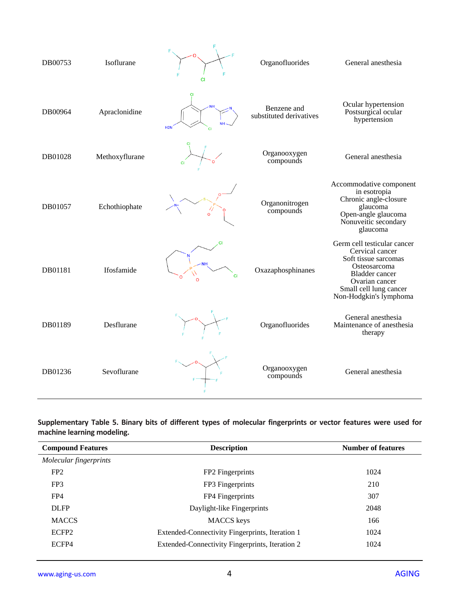| DB00753 | Isoflurane     | <b>CI</b>       | Organofluorides                        | General anesthesia                                                                                                                                                                    |
|---------|----------------|-----------------|----------------------------------------|---------------------------------------------------------------------------------------------------------------------------------------------------------------------------------------|
| DB00964 | Apraclonidine  | H2N             | Benzene and<br>substituted derivatives | Ocular hypertension<br>Postsurgical ocular<br>hypertension                                                                                                                            |
| DB01028 | Methoxyflurane | <b>CI</b>       | Organooxygen<br>compounds              | General anesthesia                                                                                                                                                                    |
| DB01057 | Echothiophate  |                 | Organonitrogen<br>compounds            | Accommodative component<br>in esotropia<br>Chronic angle-closure<br>glaucoma<br>Open-angle glaucoma<br>Nonuveitic secondary<br>glaucoma                                               |
| DB01181 | Ifosfamide     | CI<br><b>CI</b> | Oxazaphosphinanes                      | Germ cell testicular cancer<br>Cervical cancer<br>Soft tissue sarcomas<br>Osteosarcoma<br><b>Bladder</b> cancer<br>Ovarian cancer<br>Small cell lung cancer<br>Non-Hodgkin's lymphoma |
| DB01189 | Desflurane     |                 | Organofluorides                        | General anesthesia<br>Maintenance of anesthesia<br>therapy                                                                                                                            |
| DB01236 | Sevoflurane    |                 | Organooxygen<br>compounds              | General anesthesia                                                                                                                                                                    |

### **Supplementary Table 5. Binary bits of different types of molecular fingerprints or vector features were used for machine learning modeling.**

| <b>Compound Features</b> | <b>Description</b>                              | <b>Number of features</b> |
|--------------------------|-------------------------------------------------|---------------------------|
| Molecular fingerprints   |                                                 |                           |
| FP <sub>2</sub>          | FP2 Fingerprints                                | 1024                      |
| FP3                      | FP3 Fingerprints                                | 210                       |
| FP4                      | FP4 Fingerprints                                | 307                       |
| <b>DLFP</b>              | Daylight-like Fingerprints                      | 2048                      |
| <b>MACCS</b>             | <b>MACCS</b> keys                               | 166                       |
| ECFP <sub>2</sub>        | Extended-Connectivity Fingerprints, Iteration 1 | 1024                      |
| ECFP4                    | Extended-Connectivity Fingerprints, Iteration 2 | 1024                      |
|                          |                                                 |                           |